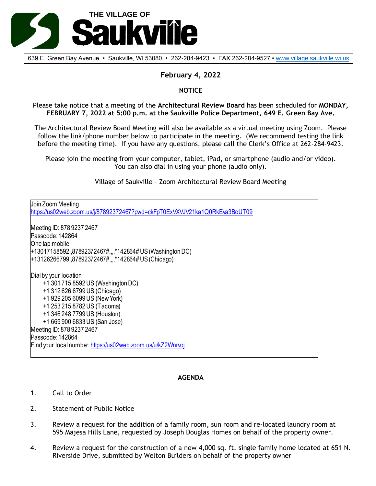

639 E. Green Bay Avenue • Saukville, WI 53080 • 262-284-9423 • FAX 262-284-9527 • [www.village.saukville.wi.us](http://www.village.saukville.wi.us/)

# **February 4, 2022**

### **NOTICE**

Please take notice that a meeting of the **Architectural Review Board** has been scheduled for **MONDAY, FEBRUARY 7, 2022 at 5:00 p.m. at the Saukville Police Department, 649 E. Green Bay Ave.**

The Architectural Review Board Meeting will also be available as a virtual meeting using Zoom. Please follow the link/phone number below to participate in the meeting. (We recommend testing the link before the meeting time). If you have any questions, please call the Clerk's Office at 262-284-9423.

Please join the meeting from your computer, tablet, iPad, or smartphone (audio and/or video). You can also dial in using your phone (audio only).

Village of Saukville – Zoom Architectural Review Board Meeting

Join Zoom Meeting https://us02web.zoom.us/j/87892372467?pwd=ckFpT0ExVXVJV21ka1Q0RkEva3BoUT09 Meeting ID: 878 9237 2467 Passcode: 142864 One tap mobile +13017158592,,87892372467#,,,,\*142864# US (Washington DC) +13126266799,,87892372467#,,,,\*142864# US (Chicago) Dial by your location +1 301 715 8592 US (Washington DC) +1 312 626 6799 US (Chicago) +1 929 205 6099 US (New York) +1 253 215 8782 US (Tacoma) +1 346 248 7799 US (Houston) +1 669 900 6833 US (San Jose) Meeting ID: 878 9237 2467 Passcode: 142864 Find your local number: https://us02web.zoom.us/u/kZ2Wnrvoj

### **AGENDA**

- 1. Call to Order
- 2. Statement of Public Notice
- 3. Review a request for the addition of a family room, sun room and re-located laundry room at 595 Majesa Hills Lane, requested by Joseph Douglas Homes on behalf of the property owner.
- 4. Review a request for the construction of a new 4,000 sq. ft. single family home located at 651 N. Riverside Drive, submitted by Welton Builders on behalf of the property owner